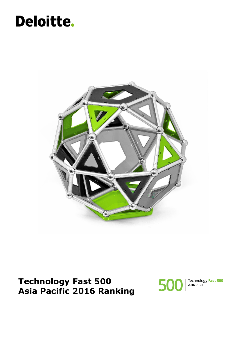### Deloitte.



**Technology Fast 500 Asia Pacific 2016 Ranking**



Technology Fast 500<br>2016 APAC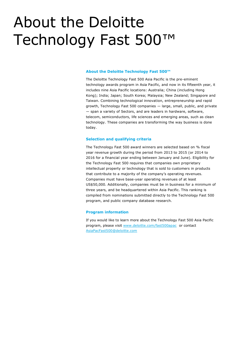## About the Deloitte Technology Fast 500™

#### **About the Deloitte Technology Fast 500™**

The Deloitte Technology Fast 500 Asia Pacific is the pre-eminent technology awards program in Asia Pacific, and now in its fifteenth year, it includes nine Asia Pacific locations: Australia; China (including Hong Kong); India; Japan; South Korea; Malaysia; New Zealand; Singapore and Taiwan. Combining technological innovation, entrepreneurship and rapid growth, Technology Fast 500 companies — large, small, public, and private — span a variety of Sectors, and are leaders in hardware, software, telecom, semiconductors, life sciences and emerging areas, such as clean technology. These companies are transforming the way business is done today.

#### **Selection and qualifying criteria**

The Technology Fast 500 award winners are selected based on % fiscal year revenue growth during the period from 2013 to 2015 (or 2014 to 2016 for a financial year ending between January and June). Eligibility for the Technology Fast 500 requires that companies own proprietary intellectual property or technology that is sold to customers in products that contribute to a majority of the company's operating revenues. Companies must have base-year operating revenues of at least US\$50,000. Additionally, companies must be in business for a minimum of three years, and be headquartered within Asia Pacific. This ranking is compiled from nominations submitted directly to the Technology Fast 500 program, and public company database research.

#### **Program information**

If you would like to learn more about the Technology Fast 500 Asia Pacific program, please visit [www.deloitte.com/fast500apac](http://www.deloitte.com/fast500apac) or contact [AsiaPacFast500@deloitte.com](mailto:AsiaPacFast500@deloitte.com)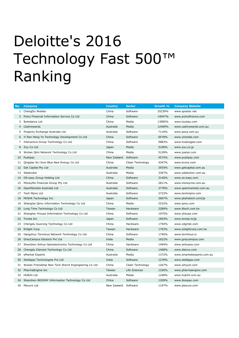# Deloitte's 2016 Technology Fast 500™ Ranking

| No. | <b>Company</b>                                       | <b>Country</b> | <b>Sector</b>    | Growth % | <b>Company Website</b>    |
|-----|------------------------------------------------------|----------------|------------------|----------|---------------------------|
|     | 1 ChengDu Wolaila                                    | China          | Software         | 25239%   | www.sposter.net           |
|     | 2 Puhui Financial Information Service Co Ltd         | China          | Software         | 14047%   | www.puhuifinance.com      |
| 3   | Bytedance Ltd                                        | China          | Media            | 13085%   | www.toutiao.com           |
| 4   | Cashrewards                                          | Australia      | Media            | 12469%   | www.cashrewards.com.au    |
| 5   | Property Exchange Australia Ltd                      | Australia      | Software         | 7116%    | www.pexa.com.au           |
| 6   | Yi Ren Heng Ye Technology Development Co Ltd         | China          | Software         | 6578%    | www.yirendai.com          |
| 7   | Interactive Group Technology Co Ltd                  | China          | Software         | 5883%    | www.hudongpai.com         |
|     | 8 Zuu Co Ltd                                         | Japan          | Media            | 5196%    | www.zuu.co.jp             |
| 9   | Wuhan Qimi Network Technology Co Ltd                 | China          | Media            | 5128%    | www.juanpi.com            |
| 10  | Pushpay                                              | New Zealand    | Software         | 4574%    | www.pushpay.com           |
| 11  | Qingdao Sci-Inno Blue New Energy Co Ltd              | China          | Clean Technology | 4347%    | www.kcxny.com             |
|     | 12 Get Capital Pty Ltd                               | Australia      | Media            | 3935%    | www.getcapital.com.au     |
|     | 13 Sidekicker                                        | Australia      | Media            | 3307%    | www.sidekicker.com.au     |
|     | 14 OS-easy Group Holding Ltd                         | China          | Software         | 3140%    | www.os-easy.com           |
| 15  | MoneyMe Financial Group Pty Ltd                      | Australia      | Software         | 2811%    | www.moneyme.com.au        |
| 16  | OpenMarkets Australia Ltd                            | Australia      | Software         | 2778%    | www.openmarkets.com.au    |
| 17  | Tech Mpire Ltd                                       | Australia      | Software         | 2723%    | www.techmpire.com         |
| 18  | PKSHA Technology Inc                                 | Japan          | Software         | 2607%    | www.pkshatech.com/ja      |
| 19  | Shanghai Qiniu Information Technology Co Ltd         | China          | Media            | 2532%    | www.giniu.com             |
| 20  | Long Time Technology Co Ltd                          | Taiwan         | Hardware         | 2289%    | www.lttech.com.tw         |
| 21  | Shanghai Yhouse Information Technology Co Ltd        | China          | Software         | 1975%    | www.yhouse.com            |
| 22  | Toreta Inc                                           | Japan          | Software         | 1854%    | www.toreta.in/jp          |
| 23  | Chengdu Guorong Technology Co Ltd                    | China          | Hardware         | 1794%    | www.cdgrtek.com           |
| 24  | <b>Enlight Corp</b>                                  | Taiwan         | Hardware         | 1763%    | www.enlightcorp.com.tw    |
| 25  | Hangzhou Terminus Network Technology Co Ltd          | China          | Software         | 1740%    | www.terminus.io           |
|     | 26 GreyCampus Edutech Pvt Ltd                        | India          | Media            | 1622%    | www.greycampus.com        |
| 27  | Shenzhen Anhua Optoelectronics Technology Co Ltd     | China          | Hardware         | 1494%    | www.anhuaoe.com           |
| 28  | Chengdu Dianwei Technology Co Ltd                    | China          | Software         | 1468%    | www.dianvo.com            |
| 29  | eMarket Experts                                      | Australia      | Media            | 1372%    | www.emarketexperts.com.au |
| 30  | Stellapps Technologies Pvt Ltd                       | India          | Software         | 1278%    | www.stellapps.com         |
| 31  | Wuhan Friendship New Tech Starch Engingeering Co Ltd | China          | Clean Technology | 1267%    | www.whyyxt.com            |
| 32  | PharmaEngine Inc                                     | Taiwan         | Life Sciences    | 1256%    | www.pharmaengine.com      |
| 33  | HUB24 Ltd                                            | Australia      | Media            | 1248%    | www.hub24.com.au          |
| 34  | Shenzhen iBOXPAY Information Technology Co Ltd       | China          | Software         | 1209%    | www.iboxpay.com           |
| 35  | Plexure Ltd                                          | New Zealand    | Software         | 1197%    | www.plexure.com           |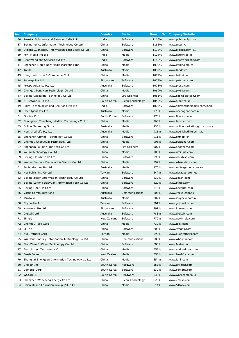| No. | <b>Company</b>                                  | <b>Country</b> | <b>Sector</b>    | Growth % | <b>Company Website</b>          |
|-----|-------------------------------------------------|----------------|------------------|----------|---------------------------------|
| 36  | Polestar Solutions and Services India LLP       | India          | Software         | 1166%    | www.polestarllp.com             |
| 37  | Beijing Yunce Information Technology Co Ltd     | China          | Software         | 1166%    | www.testin.cn                   |
| 38  | Digiark Guanghzou Information Tech Stock Co Ltd | China          | Software         | 1138%    | www.digiark.com:81              |
| 39  | Fork Media Pvt Ltd                              | India          | Media            | 1128%    | www.getforked.in                |
| 40  | GoodWorkLabs Services Pvt Ltd                   | India          | Software         | 1112%    | www.goodworklabs.com            |
| 41  | Shenzhen iTable New Media Marketing Inc         | China          | Media            | 1095%    | www.itable.com.cn               |
|     | 42 Tanda                                        | Australia      | Media            | 1087%    | www.tanda.co                    |
| 43  | Hangzhou Huxiu E-Commerce Co Ltd                | China          | Media            | 1079%    | www.beibei.com                  |
| 44  | Patsnap Pte Ltd                                 | Singapore      | Software         | 1078%    | www.patsnap.com                 |
| 45  | Prospa Advance Pty Ltd                          | Australia      | Software         | 1075%    | www.prosa.com                   |
| 46  | Chengdu Pengwan Technology Co Ltd               | China          | Media            | 1069%    | www.pw19.com                    |
| 47  | Beijing Capitalbio Technology Co Ltd            | China          | Life Sciences    | 1051%    | www.capitalbiotech.com          |
| 48  | AJ Networks Co Ltd                              | South Korea    | Clean Technology | 1045%    | www.ajnet.co.kr                 |
| 49  | Spire Technologies and Solutions Pvt Ltd        | India          | Software         | 1003%    | www.spiretechnologies.com/india |
| 50  | OpenAgent Pty Ltd                               | Australia      | Media            | 979%     | www.openagent.com.au            |
| 51  | Finotek Co Ltd                                  | South Korea    | Software         | 978%     | www.finotek.co.kr               |
| 52  | Guangzhou Tiancheng Medical Technology Co Ltd   | China          | Media            | 963%     | www.tecenet.com                 |
| 53  | <b>Online Marketing Gurus</b>                   | Australia      | Media            | 936%     | www.onlinemarketinggurus.com.au |
| 54  | Nourished Life Pty Ltd                          | Australia      | Media            | 915%     | www.nourishedlife.com.au        |
| 55  | Shenzhen Cnmobi Technology Co Ltd               | China          | Software         | 911%     | www.cnmobi.cn                   |
| 56  | Chengdu Chaoyouai Technology Ltd                | China          | Media            | 908%     | www.baicizhan.com               |
| 57  | Abgenom (Wuhan) Bio-tech Co Ltd                 | China          | Life Sciences    | 907%     | www.abgenom.com                 |
| 58  | Youmi Technology Co Ltd                         | China          | Media            | 903%     | www.umiplus.com                 |
| 59  | Beijing CloudVSP Co Ltd                         | China          | Software         | 896%     | www.cloudvsp.com                |
| 60  | Wuhan Sundata E-education Service Co Ltd        | China          | Media            | 892%     | www.whsundata.com               |
| 61  | Social Garden Pty Ltd                           | Australia      | Media            | 870%     | www.socialgarden.com.au         |
| 62  | Net Publishing Co Ltd                           | Taiwan         | Software         | 847%     | www.netappstore.net             |
| 63  | Beijing Zeasn Information Technology Co Ltd     | China          | Software         | 832%     | www.zeasn.com                   |
| 64  | Beijing LeRong Duoyuan Information Tech Co Ltd  | China          | Software         | 822%     | www.pintec.com                  |
| 65  | Beijing OneAPM Corp                             | China          | Software         | 815%     | www.oneapm.com                  |
| 66  | <b>Vocus Communications</b>                     | Australia      | Communications   | 805%     | www.vocus.com.au                |
| 67  | iBuyNew                                         | Australia      | Media            | 802%     | www.ibuynew.com.au              |
| 68  | Goyourlife Inc                                  | Taiwan         | Software         | 801%     | www.goyourlife.com              |
| 69  | Knowesis Pte Ltd                                | Singapore      | Software         | 799%     | www.knowesis.com                |
| 70  | DigitalX Ltd                                    | Australia      | Software         | 783%     | www.digitalx.com                |
| 71  | Timely                                          | New Zealand    | Software         | 770%     | www.gettimely.com               |
| 72  | Chengdu Tsixi Corp                              | China          | Media            | 739%     | www.tsixi.com                   |
| 73  | 9F Inc                                          | China          | Software         | 708%     | www.9fbank.com                  |
| 74  | <b>KuoBrothers Corp</b>                         | Taiwan         | Media            | 698%     | www.kuobrothers.com             |
| 75  | Wu Hangi Inquiry Information Technology Co Ltd  | China          | Communications   | 689%     | www.whqixun.com                 |
| 76  | ShenZhen SuiShou Technology Co Ltd              | China          | Software         | 688%     | www.feidee.com                  |
| 77  | Androidmov Technology Co Ltd                    | China          | Media            | 658%     | www.androidmov.com              |
| 78  | Fresh Focus                                     | New Zealand    | Media            | 656%     | www.freshfocus.net.nz           |
| 79  | Shanghai Zhongyan Information Technology Co Ltd | China          | Media            | 654%     | www.fanli.com                   |
| 80  | UniTest Inc                                     | South Korea    | Hardware         | 653%     | www.uni-test.com                |
| 81  | Com2uS Corp                                     | South Korea    | Software         | 639%     | www.com2us.com                  |
| 82  | WOOREEETI                                       | South Korea    | Hardware         | 633%     | www.wooreeeti.co.kr             |
| 83  | Shenzhen Wancheng Energy Co Ltd                 | China          | Clean Technology | 620%     | www.emcsz.com                   |
|     | 84 China Online Education Group (51Talk)        | China          | Media            | 614%     | www.51talk.com                  |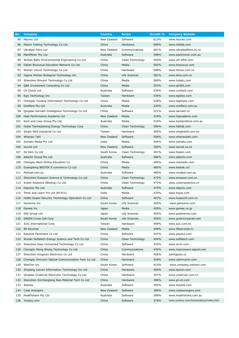| No. | <b>Company</b>                                      | <b>Country</b> | <b>Sector</b>    | Growth % | <b>Company Website</b>              |
|-----|-----------------------------------------------------|----------------|------------------|----------|-------------------------------------|
|     | 85 Heyrex Ltd                                       | New Zealand    | Software         | 613%     | www.heyrex.com                      |
|     | 86 Meixin Testing Technology Co Ltd                 | China          | Hardware         | 606%     | www.mttlab.com                      |
| 87  | Ultrafast Fibre Ltd                                 | New Zealand    | Communications   | 601%     | www.ultrafastfibre.co.nz            |
| 88  | PlantMiner Pty Ltd                                  | Australia      | Software         | 598%     | www.plantminer.com.au               |
| 89  | Wuhan Baifu Environmental Engineering Co Ltd        | China          | Clean Technology | 593%     | www.wh-bfhb.com                     |
| 90  | Dalian Biyouxue Education Network Co Ltd            | China          | Media            | 592%     | www.biyouxue.com                    |
| 91  | Wuhan Lotuxs Technology Co Ltd                      | China          | Hardware         | 586%     | www.lotuxs.com.cn                   |
|     | 92 Yigene Wuhan Biological Technology Inc           | China          | Life Sciences    | 581%     | www.idna.com.cn                     |
| 93  | Shenzhen Bincent Technology Co Ltd                  | China          | Media            | 560%     | www.tubatu.com                      |
| 94  | Q&K Investment Consulting Co Ltd                    | China          | Media            | 553%     | www.qk365.com                       |
| 95  | CV Check Ltd                                        | Australia      | Software         | 539%     | www.cvcheck.com                     |
| 96  | Egis Technology Inc                                 | Taiwan         | Hardware         | 539%     | www.egistec.com                     |
| 97  | Chengdu Yuxiang Information Technology Co Ltd       | China          | Media            | 538%     | www.tapenjoy.com                    |
| 98  | Oneflare Pty Ltd                                    | Australia      | Media            | 530%     | www.oneflare.com.au                 |
| 99  | Qingdao Sarnath Intelligence Technology Co Ltd      | China          | Software         | 521%     | www.sarnath.cn                      |
| 100 | High Performance Academy Ltd                        | New Zealand    | Media            | 518%     | www.hpacademy.com                   |
| 101 | Kent and Lime Group Pty Ltd                         | Australia      | Media            | 516%     | www.kentandlime.com.au              |
| 102 | Hubei Tianhejiakang Energy Technology Corp          | China          | Clean Technology | 509%     | www.hbthjk.com                      |
| 103 | Single Well Industrial Co Ltd                       | Taiwan         | Hardware         | 509%     | www.singlewell.com.tw               |
|     | 104 Whanau Tahi                                     | New Zealand    | Software         | 508%     | www.whanautahi.com                  |
| 105 | Zomato Media Pvt Ltd                                | India          | Media            | 504%     | www.zomato.com                      |
| 106 | Isovist Ltd                                         | New Zealand    | Software         | 500%     | www.isovist.co.nz                   |
| 107 | Its Skin Co Ltd                                     | South Korea    | Clean Technology | 491%     | www.itsskin.com                     |
| 108 | Adactin Group Pty Ltd                               | Australia      | Software         | 486%     | www.adactin.com                     |
| 109 | Chengdu Maizi Online Education Co                   | China          | Media            | 485%     | www.maiziedu.com                    |
| 110 | Guangdong BESTEK E-commerce Co Ltd                  | China          | Media            | 485%     | www.bestek.cn/                      |
| 111 | MyDeal.com.au                                       | Australia      | Software         | 480%     | www.mydeal.com.au                   |
|     | 112 Shenzhen Enesoon Science & Technology Co Ltd    | China          | Clean Technology | 475%     | www.enesoon.com.cn                  |
| 113 | Xylem Analytics (Beijing) Co Ltd                    | China          | Clean Technology | 473%     | www.xylemanalytics.cn               |
| 114 | Deputec Pty Ltd                                     | Australia      | Software         | 470%     | www.deputy.com                      |
| 115 | Think and Learn Pvt Ltd (BYJU's)                    | India          | Media            | 470%     | www.byjus.com                       |
| 116 | HuBei Huaao Security Technology Operation Co Ltd    | China          | Software         | 467%     | www.huaao24.com.cn                  |
| 117 | Genexine Inc                                        | South Korea    | Life Sciences    | 465%     | www.genexine.com                    |
|     | 118 Geniee Inc                                      | Japan          | Media            | 459%     | www.geniee.co.jp                    |
| 119 | <b>GNI Group Ltd</b>                                | Japan          | Life Sciences    | 454%     | www.gnipharma.com                   |
| 120 | <b>GREEN Cross Cell Corp</b>                        | South Korea    | Life Sciences    | 450%     | www.greencrosscell.com              |
| 121 | <b>JUIC International Corp</b>                      | Taiwan         | Hardware         | 449%     | www.juic.com.tw                     |
| 122 | 90 Seconds                                          | New Zealand    | Media            | 448%     | www.90seconds.tv                    |
| 123 | Easylink Payement Co Ltd                            | China          | Software         | 447%     | www.payeco.com                      |
| 124 | Wuhan Solfatech Energy Science and Tech Co Ltd      | China          | Clean Technology | 444%     | www.solfatech.com                   |
| 125 | Shenzhen Easy Connected Technology Co Ltd           | China          | Software         | 433%     | www.scrm.com                        |
| 126 | Chengdu Meng Sheng Technology Co Ltd                | China          | Communications   | 430%     | www.macrowave-signal.com            |
| 127 | Shenzhen Kingauto Electronic Co Ltd                 | China          | Hardware         | 428%     | szkingauto.cc                       |
| 128 | Chengdu Xinruixin Optical Communication Tech Co Ltd | China          | Hardware         | 428%     | www.cdxinruixin.com                 |
| 129 | WebZen Inc                                          | South Korea    | Software         | 415%     | www.company.webzen.com              |
| 130 | Zhejiang Laxcen Information Technology Inc Ltd      | China          | Hardware         | 409%     | www.laxcen.com                      |
| 131 | Qingdao Creatrust Electronic Technology Co Ltd      | China          | Hardware         | 397%     | www.creatrust.com.cn                |
| 132 | Shenzhen Xinchanglong New Material Tech Co Ltd      | China          | Hardware         | 396%     | www.gl-xcl.com                      |
| 133 | Stackla                                             | Australia      | Software         | 392%     | www.stackla.com                     |
| 134 | Code Avengers                                       | New Zealand    | Software         | 389%     | www.codeavengers.com                |
| 135 | Healthshare Pty Ltd                                 | Australia      | Software         | 388%     | www.healthshare.com.au              |
| 136 | Youboy.com                                          | China          | Software         | 378%     | www.youboy.com/home/about/index.htm |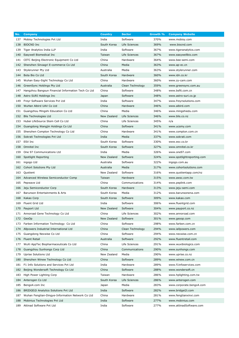| No.        | <b>Company</b>                                     | <b>Country</b>  | <b>Sector</b>              | Growth %     | <b>Company Website</b>               |
|------------|----------------------------------------------------|-----------------|----------------------------|--------------|--------------------------------------|
| 137        | Mobisy Technologies Pvt Ltd                        | India           | Software                   | 370%         | www.mobisy.com                       |
| 138        | <b>BIOCND</b> Inc                                  | South Korea     | Life Sciences              | 369%         | www.biocnd.com                       |
| 139        | Tiger Analytics India LLP                          | India           | Software                   | 367%         | www.tigeranalytics.com               |
| 140        | Easywell Biomedical Inc                            | Taiwan          | Life Sciences              | 367%         | www.easywellbio.com                  |
| 141        | CETC Beijing Electronic Equipment Co Ltd           | China           | Hardware                   | 364%         | www.bee-semi.com                     |
| 142        | Shenzhen Sinoagri E-commerce Co Ltd                | China           | Media                      | 363%         | www.ap-ec.cn                         |
| 143        | Stylerunner Pty Ltd                                | Australia       | Media                      | 363%         | www.stylerunner.com                  |
| 144        | Bota Bio Co Ltd                                    | South Korea     | Hardware                   | 360%         | www.idn.co.kr                        |
| 145        | Wuhan Easy-Sight Technology Co Ltd                 | China           | Hardware                   | 360%         | www.zy-cam.com                       |
| 146        | GreenSync Holdings Pty Ltd                         | Australia       | Clean Technology           | 359%         | www.greensync.com.au                 |
| 147        | Hangzhou Bangsun Financial Information Tech Co Ltd | China           | Software                   | 348%         | www.bsfit.com.cn                     |
| 148        | Astro SURI Holdings Inc                            | Japan           | Software                   | 348%         | www.astro-suri.co.jp                 |
| 149        | Freyr Software Services Pvt Ltd                    | India           | Software                   | 347%         | www.freyrsolutions.com               |
| 150        | WuHan Aibird UAV Co Ltd                            | China           | Hardware                   | 346%         | www.aibird.com                       |
| 151        | Guangzhou Mingshi Education Co Ltd                 | China           | Media                      | 346%         | www.mingshiedu.com                   |
| 152        | Blis Technologies Ltd                              | New Zealand     | Life Sciences              | 346%         | www.blis.co.nz                       |
| 153        | Hubei LifeSource Stem Cell Co Ltd                  | China           | Life Sciences              | 345%         | n/a                                  |
| 154        | Guangdong Wangjin Holdings Co Ltd                  | China           | Software                   | 341%         | www.ucsmy.com                        |
| 155        | Shenzhen Compton Technology Co Ltd                 | China           | Hardware                   | 341%         | www.compton.com.cn                   |
| 156        | Sokrati Technologies Pvt Ltd                       | India           | Media                      | 337%         | www.sokrati.com                      |
| 157        | ESV Inc                                            | South Korea     | Software                   | 330%         | www.esv.co.kr                        |
| 158        | Omnitel Inc                                        | South Korea     | Software                   | 327%         | www.omnitel.co.kr                    |
| 159        | One 97 Communications Ltd                          | India           | Media                      | 326%         | www.one97.com                        |
| 160        | Spotlight Reporting                                | New Zealand     | Software                   | 324%         | www.spotlightreporting.com           |
| 161        | ingogo Ltd                                         | Australia       | Software                   | 322%         | ingogo.com.au                        |
| 162        | Cohort Solutions Pty Ltd                           | Australia       | Media                      | 317%         | www.cohortsolutions.com              |
| 163        | Quotient                                           | New Zealand     | Software                   | 316%         | www.quotientapp.com/nz               |
| 164<br>165 | Advanced Wireless Semiconductor Comp               | Taiwan<br>China | Hardware<br>Communications | 315%         | www.awsc.com.tw                      |
| 166        | Pepwave Ltd<br>Jeju Semiconductor Corp             | South Korea     | Hardware                   | 314%<br>313% | www.peplink.com<br>www.jeju-semi.com |
| 167        | Barunson Entertainments & Arts                     | South Korea     | Media                      | 312%         | www.barunsonena.com                  |
| 168        | Kakao Corp                                         | South Korea     | Software                   | 309%         | www.kakao.com                        |
| 169        | Fluent Grid Ltd                                    | India           | Software                   | 306%         | www.fluentgrid.com                   |
| 170        | Payport Ltd                                        | New Zealand     | Software                   | 304%         | www.payport.co.nz                    |
| 171        | Annoroad Gene Technology Co Ltd                    | China           | Life Sciences              | 302%         | www.annoroad.com                     |
| 172        | GeoOp                                              | New Zealand     | Software                   | 301%         | www.geoop.com                        |
| 173        | Farben Information Technology Co Ltd               | China           | Software                   | 298%         | www.farben.com.cn                    |
| 174        | Allpowers Industrial International Ltd             | China           | Clean Technology           | 294%         | www.iallpowers.com                   |
| 175        | Guangdong Nexwise Co Ltd                           | China           | Software                   | 294%         | www.nexwise.com.cn                   |
| 176        | <b>Fluent Retail</b>                               | Australia       | Software                   | 292%         | www.fluentretail.com                 |
| 177        | WuXi AppTec Biopharmaceuticals Co Ltd              | China           | Life Sciences              | 291%         | www.wuxibiologics.com                |
| 178        | Guangzhou Sunhongs Corp Ltd                        | China           | Communications             | 290%         | www.sunhongs.com                     |
| 179        | Uprise Solutions Ltd                               | New Zealand     | Media                      | 290%         | www.uprise.co.nz                     |
| 180        | Shenzhen Winew Technology Co Ltd                   | China           | Software                   | 289%         | www.winew.com.cn                     |
| 181        | F1 Info Solutions and Services Pvt Ltd             | India           | Hardware                   | 289%         | www.f1infoservices.com               |
| 182        | Beijing Wondersoft Technology Co Ltd               | China           | Software                   | 288%         | www.wondersoft.cn                    |
| 183        | High Power Lighting Corp                           | Taiwan          | Hardware                   | 286%         | www.hplighting.com.tw                |
| 184        | Anterogen Co Ltd                                   | South Korea     | Life Sciences              | 286%         | www.anterogen.com                    |
| 185        | Bengo4.com Inc                                     | Japan           | Media                      | 283%         | www.corporate.bengo4.com             |
| 186        | <b>BRIDGEI2I Analytics Solutions Pvt Ltd</b>       | India           | Software                   | 282%         | www.bridgei2i.com                    |
| 187        | Wuhan Fengtian-Dingye-Information Network Co Ltd   | China           | Hardware                   | 281%         | www.fengtianxinxi.com                |
| 188        | Mobinius Technologies Pvt Ltd                      | India           | Software                   | 277%         | www.mobinius.com                     |
| 189        | Attinad Software Pvt Ltd                           | India           | Software                   | 277%         | www.attinadSoftware.com              |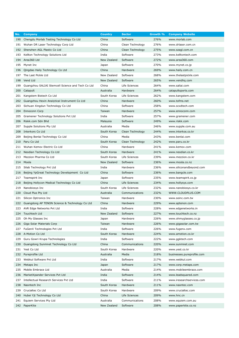| No. | <b>Company</b>                                        | <b>Country</b> | <b>Sector</b>    | Growth % | <b>Company Website</b>     |
|-----|-------------------------------------------------------|----------------|------------------|----------|----------------------------|
| 190 | Chengdu Morlab Testing Technology Co Ltd              | China          | Software         | 276%     | www.morlab.com             |
| 191 | Wuhan DR Laser Technology Corp Ltd                    | China          | Clean Technology | 276%     | www.drlaser.com.cn         |
| 192 | Shenzhen AGL Plastic Co Ltd                           | China          | Clean Technology | 275%     | www.szagl.com.cn           |
| 193 | Kellton Technology Solutions Ltd                      | India          | Software         | 273%     | www.kelltontech.com        |
| 194 | Area360 Ltd                                           | New Zealand    | Software         | 272%     | www.area360.com            |
| 195 | Mynet Inc                                             | Japan          | Software         | 270%     | www.mynet.co.jp            |
| 196 | Qingdao Haily Technology Co Ltd                       | China          | Hardware         | 269%     | www.haily.com.cn           |
| 197 | The Last Pickle Ltd                                   | New Zealand    | Software         | 268%     | www.thelastpickle.com      |
|     | 198 Vend Ltd                                          | New Zealand    | Software         | 265%     | www.vendhq.com             |
|     | 199 Guangzhou SALIAI Stemcell Science and Tech Co Ltd | China          | Life Sciences    | 264%     | www.saliai.com             |
|     | 200 Catapult                                          | Australia      | Hardware         | 264%     | catapultsports.com         |
| 201 | Kangstem Biotech Co Ltd                               | South Korea    | Life Sciences    | 262%     | www.kangstem.com           |
| 202 | Guangzhou Hexin Analytical Instrument Co Ltd          | China          | Hardware         | 260%     | www.tofms.net              |
| 203 | Sichuan Xingdun Technology Co Ltd                     | China          | Software         | 258%     | www.scxdtech.com           |
| 204 | Ennoconn Corp                                         | Taiwan         | Hardware         | 257%     | www.ennoconn.com           |
| 205 | Gramener Technology Solutions Pvt Ltd                 | India          | Software         | 257%     | www.gramener.com           |
| 206 | Riskk.com Sdn Bhd                                     | Malaysia       | Software         | 249%     | www.riskk.com              |
| 207 | Supple Solutions Pty Ltd                              | Australia      | Media            | 246%     | www.supple.com.au          |
| 208 | Interkors Co Ltd                                      | South Korea    | Clean Technology | 244%     | www.interkos.co.kr         |
| 209 | Beijing Benlai Technology Co Ltd                      | China          | Media            | 243%     | www.benlai.com             |
| 210 | Paru Co Ltd                                           | South Korea    | Clean Technology | 242%     | www.paru.co.kr             |
| 211 | Wuhan Kemov Electric Co Ltd                           | China          | Hardware         | 241%     | www.kemov.com              |
| 212 | Neodian Technology Co Ltd                             | South Korea    | Hardware         | 241%     | www.neodian.co.kr          |
| 213 | Mezzion Pharma Co Ltd                                 | South Korea    | Life Sciences    | 239%     | www.mezzion.co.kr          |
|     | 214 Moola                                             | New Zealand    | Software         | 236%     | www.moola.co.nz            |
|     | 215 Silab Technology Pvt Ltd                          | India          | Hardware         | 236%     | www.siliconandbeyond.com   |
| 216 | Beijing YpGreat Technology Development Co Ltd         | China          | Software         | 236%     | www.bangcle.com            |
| 217 | Teamspirit Inc                                        | Japan          | Software         | 235%     | www.teamspirit.co.jp       |
| 218 | Beijing Hollycon Medical Technology Co Ltd            | China          | Life Sciences    | 234%     | www.hollysys.com           |
| 219 | Nanobiosys Inc                                        | South Korea    | Life Sciences    | 232%     | www.nanobiosys.co.kr       |
| 220 | Cloud Plus Pty Ltd                                    | Australia      | Communications   | 232%     | WWW.CLOUDPLUS.COM          |
| 221 | Silicon Optronics Inc                                 | Taiwan         | Hardware         | 230%     | www.soinc.com.tw           |
| 222 | Guangdong AP TENON Science & Technology Co Ltd        | China          | Hardware         | 229%     | www.aptenon.com            |
|     | 223 AVR Edge Networks Pvt Ltd                         | India          | Software         | 228%     | www.edgenetworks.in        |
| 224 | Touchtech Ltd                                         | New Zealand    | Software         | 227%     | www.touchtech.co.nz        |
| 225 | Oh My Glasses Inc                                     | Japan          | Hardware         | 226%     | www.ohmyglasses.co.jp      |
| 226 | Giga Solar Materials Corp                             | Taiwan         | Hardware         | 226%     | www.gigasolar.com.tw       |
| 227 | FuGenX Technologies Pvt Ltd                           | India          | Software         | 226%     | www.fugenx.com             |
| 228 | A-Motion Co Ltd                                       | South Korea    | Hardware         | 224%     | www.amotion.co.kr          |
| 229 | Guru Gowri Krupa Technologies                         | India          | Software         | 222%     | www.ggktech.com            |
| 230 | Guangdong Sunmnet Technology Co Ltd                   | China          | Communications   | 220%     | www.sunmnet.com            |
| 231 | Yest Co Ltd                                           | South Korea    | Hardware         | 220%     | www.yest.co.kr             |
| 232 | Pureprofile Ltd                                       | Australia      | Media            | 218%     | businesses.pureprofile.com |
| 233 | Webkul Software Pvt Ltd                               | India          | Software         | 217%     | www.webkul.com             |
| 234 | Metaps Inc                                            | Japan          | Software         | 217%     | www.corp.metaps.com        |
| 235 | Mobile Embrace Ltd                                    | Australia      | Media            | 214%     | www.mobileembrace.com      |
| 236 | MarketXpander Services Pvt Ltd                        | India          | Software         | 214%     | www.leadsquared.com        |
| 237 | Intellectual Research Services Pvt Ltd                | India          | Software         | 211%     | www.iresearchservices.com  |
| 238 | Naontech Inc                                          | South Korea    | Hardware         | 211%     | www.naontec.com            |
| 239 | Crucialtec Co Ltd                                     | South Korea    | Hardware         | 209%     | www.crucialtec.com         |
| 240 | Hubei Yjt Technology Co Ltd                           | China          | Life Sciences    | 209%     | www.hnc.cn                 |
| 241 | Equiem Services Pty Ltd                               | Australia      | Communications   | 208%     | www.equiem.com.au          |
|     | 242 PaperKite                                         | New Zealand    | Software         | 208%     | www.paperkite.co.nz        |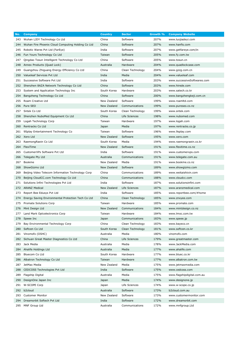| No. | <b>Company</b>                                     | <b>Country</b>             | <b>Sector</b>        | Growth %     | <b>Company Website</b>                 |
|-----|----------------------------------------------------|----------------------------|----------------------|--------------|----------------------------------------|
| 243 | Wuhan LJDY Technology Co Ltd                       | China                      | Software             | 207%         | www.luojiadeyi.com                     |
| 244 | Wuhan Fire Phoenix Cloud Computing Holding Co Ltd  | China                      | Software             | 207%         | www.hanfis.com                         |
| 245 | Robotic Wares Pvt Ltd (FarEye)                     | India                      | Software             | 207%         | www.getfareye.com/in                   |
| 246 | Fun Yours Technology Co Ltd                        | Taiwan                     | Software             | 205%         | www.fy.com.tw                          |
| 247 | Qingdao Tosun Intelligent Technology Co Ltd        | China                      | Software             | 205%         | www.tosun.cn                           |
| 248 | Annex Products (Quad Lock)                         | Australia                  | Hardware             | 204%         | www.quadlockcase.com                   |
| 249 | Guangzhou Zhiguang Energy Efficiency Co Ltd        | China                      | Clean Technology     | 204%         | www.gzzg.com.cn                        |
| 250 | Valueleaf Services Pvt Ltd                         | India                      | Media                | 204%         | www.valueleaf.com                      |
| 251 | Successive Software Pyt Ltd                        | India                      | Software             | 203%         | www.successiveSoftwares.com            |
| 252 | Shenzhen 8AZA Network Technology Co Ltd            | China                      | Software             | 203%         | www.hirede.com                         |
| 253 | System and Application Technology Inc              | South Korea                | Hardware             | 203%         | www.satech.co.kr                       |
| 254 | Bangzheng Technology Co Ltd                        | China                      | Software             | 200%         | www.bangzhengkeji.com.cn               |
| 255 | Roam Creative Ltd                                  | New Zealand                | Software             | 199%         | www.roamltd.com                        |
| 256 | Pure SEO                                           | New Zealand                | Communications       | 199%         | www.pureseo.co.nz                      |
| 257 | Sntek Co Ltd                                       | South Korea                | Clean Technology     | 199%         | www.sntek.com                          |
| 258 | Shenzhen NuboMed Equipment Co Ltd                  | China                      | Life Sciences        | 198%         | www.nubomed.com                        |
| 259 | Logah Technology Corp                              | Taiwan                     | Hardware             | 197%         | www.logah.com                          |
| 260 | Rentracks Co Ltd                                   | Japan                      | Media                | 197%         | www.rentracks.co.jp                    |
| 261 | 9Splay Entertainment Technology Co                 | Taiwan                     | Software<br>Software | 196%         | www.9splay.com                         |
| 263 | 262 Xero Ltd<br>RaemongRaein Co Ltd                | New Zealand<br>South Korea | Media                | 195%<br>194% | www.xero.com<br>www.raemongraein.co.kr |
| 264 | FlexiTime                                          | New Zealand                | Software             | 191%         | www.flexitime.co.nz                    |
| 265 | CustomerXPs Software Pvt Ltd                       | India                      | Software             | 191%         | www.customerxps.com                    |
| 266 | Telegate Pty Ltd                                   | Australia                  | Communications       | 191%         | www.telegate.com.au                    |
| 267 | Bookme                                             | New Zealand                | Media                | 191%         | www.bookme.co.nz                       |
| 268 | ShowGizmo Ltd                                      | New Zealand                | Software             | 189%         | www.showgizmo.com                      |
| 269 | Beijing Video Telecom Information Technology Corp  | China                      | Communications       | 189%         | www.weitaishixin.com                   |
| 270 | Beijing CloudCC.com Technology Co Ltd              | China                      | Communications       | 188%         | www.cloudcc.com                        |
| 271 | Solutions Infini Technologies Pvt Ltd              | India                      | Software             | 187%         | www.solutionsinfini.com                |
| 272 | <b>ARANZ Medical</b>                               | New Zealand                | Life Sciences        | 187%         | www.aranzmedical.com                   |
| 273 | Report Bee Edusys Pvt Ltd                          | India                      | Software             | 185%         | www.reportbee.com/#home                |
| 274 | Energy Saving Environmental Protection Tech Co Ltd | China                      | Clean Technology     | 185%         | www.znxyee.com                         |
| 275 | Promate Solutions Corp                             | Taiwan                     | Hardware             | 185%         | www.promate.com                        |
| 276 | Mint Design Ltd                                    | New Zealand                | Communications       | 184%         | www.mintdesign.co.nz                   |
| 211 | Land Mark Optcelectronics Corp                     | Taiwan                     | Hardware             | 184%         | www.lmoc.com.tw                        |
| 278 | Speee Inc                                          | Japan                      | Communications       | 183%         | www.speee.jp                           |
| 279 | Bay Environmental Technology Corp                  | China                      | Clean Technology     | 183%         | www.bayeco.cn                          |
| 280 | Softcen Co Ltd                                     | South Korea                | Clean Technology     | 181%         | www.softcen.co.kr                      |
| 281 | Vinomofo (OSHC)                                    | Australia                  | Media                | 180%         | vinomofo.com                           |
| 282 | Sichuan Great Master Diagnostics Co Ltd            | China                      | Life Sciences        | 179%         | www.greatmaster.com                    |
| 283 | Jack Media                                         | Australia                  | Media                | 178%         | www.JackMedia.com                      |
| 284 | Ahalife Holdings Ltd                               | Australia                  | Media                | 177%         | www.ahalife.com                        |
| 285 | Bluecom Co Ltd                                     | South Korea                | Hardware             | 177%         | www.bluec.co.kr                        |
| 286 | Albatron Technology Co Ltd                         | Taiwan                     | Hardware             | 177%         | www.albatron.com.tw                    |
| 287 | JetMax Media                                       | New Zealand                | Media                | 175%         | www.jetmaxmedia.com                    |
| 288 | CEDCOSS Technologies Pvt Ltd                       | India                      | Software             | 175%         | www.cedcoss.com                        |
| 289 | Flagship Digital                                   | Australia                  | Media                | 175%         | www.flagshipdigital.com.au             |
| 290 | DesignOne Japan Inc                                | Japan                      | Media                | 174%         | www.designone.jp                       |
| 291 | W-SCOPE Corp                                       | Japan                      | Life Sciences        | 174%         | www.w-scope.co.jp                      |
| 292 | b <sub>2</sub> cloud                               | Australia                  | Software             | 173%         | b2cloud.com.au                         |
| 293 | <b>Customer Monitor</b>                            | New Zealand                | Software             | 173%         | www.customermonitor.com                |
| 294 | Dreamorbit Softech Pvt Ltd                         | India                      | Software             | 172%         | www.dreamorbit.com                     |
| 295 | MNF Group Ltd                                      | Australia                  | Communications       | 172%         | www.mnfgroup.Ltd                       |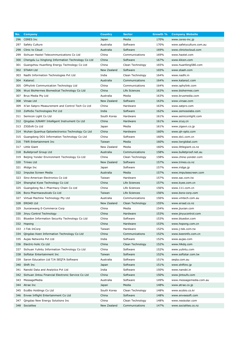| No. | <b>Company</b>                                         | <b>Country</b> | <b>Sector</b>    | Growth % | <b>Company Website</b>   |
|-----|--------------------------------------------------------|----------------|------------------|----------|--------------------------|
| 296 | <b>CERES Inc</b>                                       | Japan          | Media            | 170%     | www.ceres-inc.jp         |
| 297 | Safety Culture                                         | Australia      | Software         | 170%     | www.safetyculture.com.au |
| 298 | Clinic to Cloud                                        | Australia      | Software         | 169%     | www.clinictocloud.com    |
| 299 | Sichuan Haotel Telecommunications Co Ltd               | China          | Communications   | 169%     | www.haotel.com           |
| 300 | Chengdu Lu Xingtong Information Technology Co Ltd      | China          | Software         | 167%     | www.klicen.com           |
| 301 | Guangzhou Huanfeng Energy Technology Co Ltd            | China          | Clean Technology | 165%     | www.huanfeng580.com      |
| 302 | STAAH Ltd                                              | New Zealand    | Software         | 165%     | www.staah.com            |
| 303 | Nadhi Information Technologies Pvt Ltd                 | India          | Clean Technology | 164%     | www.nadhi.in             |
| 304 | Katana1                                                | Australia      | Communications   | 164%     | www.katana1.com          |
| 305 | OPhylink Communication Technology Ltd                  | China          | Communications   | 164%     | www.ophylink.com         |
| 306 | Wuxi BioHermes Biomedical Technology Co Ltd            | China          | Life Sciences    | 163%     | www.biohermes.com        |
| 307 | Brus Media Pty Ltd                                     | Australia      | Media            | 163%     | www.brusmedia.com        |
| 308 | Virsae Ltd                                             | New Zealand    | Software         | 163%     | www.virsae.com           |
| 309 | Xi'an Satpro Measurement and Control Tech Co Ltd       | China          | Hardware         | 163%     | www.satpro.com           |
| 310 | ZeMoSo Technologies Pvt Ltd                            | India          | Software         | 162%     | www.zemosolabs.com       |
| 311 | Semicon Light Co Ltd                                   | South Korea    | Hardware         | 161%     | www.semiconlight.com     |
| 312 | Qingdao JUNARY Intelligent Instrument Co Ltd           | China          | Hardware         | 161%     | www.zryq.cn              |
| 313 | ZIGExN Co Ltd                                          | Japan          | Media            | 161%     | www.zigexn.co.jp         |
|     | 314 Wuhan Quanhua Optoelectronics Technology Co Ltd    | China          | Hardware         | 160%     | www.gh-opto.com          |
| 315 | Guangdong DO1 Information Technology Co Ltd            | China          | Software         | 160%     | www.do1.com.cn           |
| 316 | TWR Entertainment Inc                                  | Taiwan         | Media            | 160%     | www.twrglobal.com        |
| 317 | Little Giant                                           | New Zealand    | Media            | 160%     | www.littlegiant.co.nz    |
| 318 | <b>Bulletproof Group Ltd</b>                           | Australia      | Communications   | 158%     | www.bulletproof.net.au   |
| 319 | Beijing Yonder Environment Technology Co Ltd           | China          | Clean Technology | 158%     | www.china-yonder.com     |
| 320 | Trineo Ltd                                             | New Zealand    | Software         | 157%     | www.trineo.co.nz         |
| 321 | iRidge Inc                                             | Japan          | Software         | 157%     | www.iridge.jp            |
| 322 | Impulse Screen Media                                   | Australia      | Media            | 157%     | www.impulsescreen.com    |
| 323 | Sino-American Electronics Co Ltd                       | Taiwan         | Hardware         | 157%     | www.sac.com.tw           |
| 324 | Shanghai Kyee Technology Co Ltd                        | China          | Life Sciences    | 157%     | www.kyee.com.cn          |
| 325 | Guangdong No.1 Pharmacy Chain Co Ltd                   | China          | Life Sciences    | 156%     | www.111.com.cn           |
| 326 | Bora Pharmaceuticals Co Ltd                            | Taiwan         | Life Sciences    | 156%     | www.bora-corp.com        |
| 327 | Virtual Machine Technology Pty Ltd                     | Australia      | Communications   | 156%     | www.vmtech.com.au        |
| 328 | <b>EROAD Ltd</b>                                       | New Zealand    | Clean Technology | 155%     | www.eroad.co.nz          |
| 329 | Jiuxianwang E-Commerce Corp                            | China          | Media            | 154%     | www.jiuxian.com          |
| 330 | Jinyu Control Technology                               | China          | Hardware         | 153%     | www.jinyucontrol.com     |
| 331 | Bluedon Information Security Technology Co Ltd         | China          | Software         | 153%     | www.bluedon.com          |
| 332 | Hopong                                                 | China          | Hardware         | 153%     | www.hopong.com.cn        |
| 333 | J-Tek InCorp                                           | Taiwan         | Hardware         | 152%     | www.j-tek.com.tw         |
| 334 | Qingdao Keen Information Technology Co Ltd             | China          | Communications   | 152%     | www.keeninfo.com.cn      |
| 335 | Aujas Networks Pvt Ltd                                 | India          | Software         | 152%     | www.aujas.com            |
| 336 | Electric-holic Co Ltd                                  | China          | Clean Technology | 152%     | www.hlkdq.com            |
| 337 | Sichuan Yulintu Information Technology Co Ltd          | China          | Software         | 152%     | www.yulintu.com          |
| 338 | Softstar Entertainment Inc                             | Taiwan         | Software         | 152%     | www.softstar.com.tw      |
| 339 | Saron Education Ltd T/A SEQTA Software                 | Australia      | Software         | 151%     | seqta.com.au             |
| 340 | Shift Inc                                              | Japan          | Software         | 151%     | www.shiftinc.jp          |
| 341 | Nanobi Data and Analytics Pvt Ltd                      | India          | Software         | 150%     | www.nanobi.in            |
|     | 342 Sichuan Jintou Financial Electronic Service Co Ltd | China          | Software         | 150%     | www.jintoufs.com         |
| 343 | MessageMedia                                           | Australia      | Software         | 149%     | www.messagemedia.com.au  |
| 344 | Atrae Inc                                              | Japan          | Media            | 148%     | www.atrae.co.jp          |
| 345 | EcoBio Holdings Co Ltd                                 | South Korea    | Clean Technology | 148%     | www.ecobio.co.kr         |
| 346 | Envee Inflight Entertainment Co Ltd                    | China          | Software         | 148%     | www.enveesoft.com        |
| 347 | Qingdao New Energy Solutions Inc                       | China          | Clean Technology | 148%     | www.nesisolar.com        |
|     | 348 Socialites                                         | New Zealand    | Communications   | 147%     | www.socialites.co.nz     |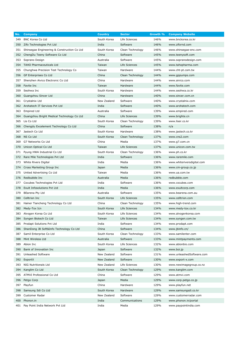| No.   | <b>Company</b>                              | <b>Country</b> | <b>Sector</b>    | Growth % | <b>Company Website</b>     |
|-------|---------------------------------------------|----------------|------------------|----------|----------------------------|
| 349   | <b>BNC Korea Co Ltd</b>                     | South Korea    | Life Sciences    | 146%     | www.bnckorea.co.kr         |
| 350   | Zifo Technologies Pvt Ltd                   | India          | Software         | 146%     | www.zifornd.com            |
| 351   | Shinsegae Engineering & Construction Co Ltd | South Korea    | Clean Technology | 146%     | www.shinsegae-enc.com      |
| 352   | ChengDu Teeny Software Co Ltd               | China          | Software         | 145%     | www.teenysoft.com          |
| 353   | Soprano Design                              | Australia      | Software         | 145%     | www.sopranodesign.com      |
| 354   | <b>TAHO Pharmaceuticals Ltd</b>             | Taiwan         | Life Sciences    | 145%     | www.tahopharma.com         |
| 355   | Chunghwa Precision Test Technology Co       | Taiwan         | Hardware         | 144%     | www.cht-pt.com.tw          |
| 356   | GP Enterprises Co Ltd                       | China          | Clean Technology | 144%     | www.gppumps.com            |
| 357   | Shenzhen Aivico Electronic Co Ltd           | China          | Hardware         | 144%     | www.aivico.com             |
| 358   | Favite Inc                                  | Taiwan         | Hardware         | 144%     | www.favite.com             |
| 359 - | Seohwa Inc                                  | South Korea    | Hardware         | 144%     | www.seohwa.co.kr           |
| 360   | Guangzhou Sincer Ltd                        | China          | Hardware         | 140%     | www.sincer.com.cn          |
| 361   | Crystalnix Ltd                              | New Zealand    | Software         | 140%     | www.crystalnix.com         |
| 362   | Arohatech IT Services Pvt Ltd               | India          | Software         | 140%     | www.arohatech.com          |
| 363   | <b>Empired Ltd</b>                          | Australia      | Software         | 139%     | www.empired.com            |
| 364   | Guangzhou Bright Medical Technology Co Ltd  | China          | Life Sciences    | 139%     | www.brighte.cn             |
| 365   | Lis Co Ltd                                  | South Korea    | Clean Technology | 139%     | www.liser.co.kr            |
| 366   | Chengdu Excelement Technology Co Ltd        | China          | Software         | 138%     | n/a                        |
| 367   | Jastech Co Ltd                              | South Korea    | Hardware         | 138%     | www.jastech.co.kr          |
| 368   | NS Co Ltd                                   | South Korea    | Clean Technology | 137%     | www.cns2.com               |
| 369   | G7 Networks Co Ltd                          | China          | Media            | 137%     | www.g7.com.cn              |
| 370   | Unicon Optical Co Ltd                       | Taiwan         | Life Sciences    | 137%     | www.unicon.com.tw          |
| 371   | Pyung HWA Industrial Co Ltd                 | South Korea    | Clean Technology | 136%     | www.ph.co.kr               |
| 372   | Rare Mile Technologies Pvt Ltd              | India          | Software         | 136%     | www.raremile.com           |
| 373   | White Rivers Digital                        | India          | Media            | 136%     | www.whiteriversdigital.com |
| 374   | Cross Marketing Group Inc                   | Japan          | Media            | 136%     | www.cm-group.co.jp         |
| 375   | United Advertising Co Ltd                   | Taiwan         | Media            | 136%     | www.ua.com.tw              |
| 376   | Redbubble Inc                               | Australia      | Media            | 136%     | redbubble.com              |
| 377   | Cocubes Technologies Pvt Ltd                | India          | Software         | 136%     | www.cocubes.com            |
| 378   | Exult Infosolutions Pvt Ltd                 | India          | Media            | 136%     | www.exultcorp.com          |
| 379   | BEarena Pty Ltd                             | Australia      | Software         | 135%     | www.bearena.com.au         |
| 380   | Celltrion Inc                               | South Korea    | Life Sciences    | 135%     | www.celltrion.com          |
| 381   | Hainer Tiancheng Technology Co Ltd          | China          | Clean Technology | 135%     | www.high-trend.com         |
|       | 382 Medy-Tox Icn                            | South Korea    | Life Sciences    | 134%     | www.medy-tox.co.kr         |
| 383   | Alvogen Korea Co Ltd                        | South Korea    | Life Sciences    | 134%     | www.alvogenkorea.com       |
| 384   | Syngen Biotech Co Ltd                       | Taiwan         | Life Sciences    | 134%     | www.syngen.com.tw          |
| 385   | Prodapt Solutions Pvt Ltd                   | India          | Software         | 134%     | www.prodapt.com            |
| 386   | ShanDong JB Soft&Info Technology Co Ltd     | China          | Software         | 134%     | www.jbinfo.cn/             |
| 387   | Samil Enterprise Co Ltd                     | South Korea    | Clean Technology | 133%     | www.samilenter.com         |
| 388   | Mint Wireless Ltd                           | Australia      | Software         | 133%     | www.mintpayments.com       |
| 389   | Abion Inc                                   | South Korea    | Life Sciences    | 132%     | www.abionbio.com           |
| 390   | Bank of Innovation Inc                      | Japan          | Software         | 132%     | www.boi.jp                 |
| 391   | Unleashed Software                          | New Zealand    | Software         | 131%     | www.unleashedSoftware.com  |
| 392   | ExportX                                     | New Zealand    | Software         | 130%     | www.export-x.com           |
| 393   | NIG Nutritionals Ltd                        | New Zealand    | Life Sciences    | 130%     | www.newimagegroup.co.nz    |
| 394   | Kanglim Co Ltd                              | South Korea    | Clean Technology | 129%     | www.kanglim.com            |
| 395   | ATMVI Professional Co Ltd                   | China          | Software         | 129%     | www.atmvi.com              |
| 396   | Petgo Corp                                  | Japan          | Media            | 129%     | www.corp.petgo.co.jp       |
| 397   | Playfun                                     | China          | Hardware         | 129%     | www.playfun.net            |
| 398   | Samsung Sdi Co Ltd                          | South Korea    | Hardware         | 129%     | www.samsungsdi.co.kr       |
| 399   | Customer Radar                              | New Zealand    | Software         | 129%     | www.customerradar.com      |
| 400   | Phonon.in                                   | India          | Communications   | 129%     | www.phonon.in/portal       |
| 401   | Pay Point India Network Pvt Ltd             | India          | Media            | 129%     | www.paypointindia.com      |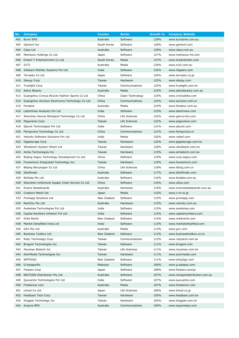| No. | <b>Company</b>                                   | <b>Country</b> | <b>Sector</b>    | Growth % | <b>Company Website</b>         |
|-----|--------------------------------------------------|----------------|------------------|----------|--------------------------------|
| 402 | <b>Burst SMS</b>                                 | Australia      | Software         | 128%     | www.burstsms.com.au            |
| 403 | Gamevil Inc                                      | South Korea    | Software         | 128%     | www.gamevil.com                |
| 404 | Class Ltd                                        | Australia      | Software         | 128%     | www.class.com.au               |
| 405 | Mamezou Holdings Co Ltd                          | Japan          | Software         | 127%     | www.mamezou-hd.com             |
| 406 | Dream T Entertainment Co Ltd                     | South Korea    | Media            | 127%     | www.dreamtenter.com            |
| 407 | S <sub>1</sub> T <sub>2</sub>                    | Australia      | Media            | 126%     | www.s1t2.com.au                |
| 408 | 42Gears Mobility Systems Pvt Ltd                 | India          | Software         | 126%     | www.42gears.com                |
| 409 | Terrasky Co Ltd                                  | Japan          | Software         | 126%     | www.terrasky.co.jp             |
| 410 | Silergy Corp                                     | Taiwan         | Hardware         | 125%     | www.silergy.com                |
| 411 | <b>Truelight Corp</b>                            | Taiwan         | Communications   | 125%     | www.truelight.com.tw           |
|     | 412 Adore Beauty                                 | Australia      | Media            | 125%     | www.adorebeauty.com.au         |
| 413 | Guangzhou Cronus Bicycle Fashion Sports Co Ltd   | China          | Clean Technology | 124%     | www.cronusbike.com             |
| 414 | Guangzhou Aevision Electronics Technology Co Ltd | China          | Communications   | 124%     | www.aevision.com.cn            |
| 415 | Fonebox                                          | Australia      | Media            | 124%     | www.fonebox.com.au             |
| 416 | LatentView Analytics Pvt Ltd                     | India          | Software         | 123%     | www.latentview.com             |
| 417 | Shenzhen Genius Biological Technology Co Ltd     | China          | Life Sciences    | 122%     | www.genrui-bio.com             |
| 418 | Pegavision Corp                                  | Taiwan         | Life Sciences    | 122%     | www.pegavision.com             |
| 419 | Qburst Technologies Pvt Ltd                      | India          | Software         | 121%     | www.qburst.com                 |
| 420 | Flyingvoice Technology Co Ltd                    | China          | Communications   | 121%     | www.flyingvoice.cn             |
| 421 | Velocity Software Solutions Pvt Ltd              | India          | Media            | 120%     | www.velsof.com                 |
| 422 | Gigastorage Corp                                 | Taiwan         | Hardware         | 120%     | www.gigastorage.com.tw         |
| 423 | Wholetech System Hitech Ltd                      | Taiwan         | Hardware         | 120%     | www.wholetech.com.tw           |
| 424 | Amita Technologies Inc                           | Taiwan         | Hardware         | 119%     | www.amitatech.com.tw           |
| 425 | Beijing Sogou Technology Development Co Ltd      | China          | Software         | 119%     | www.corp.sogou.com             |
| 426 | Foxsemicon Integrated Technology Inc             | Taiwan         | Hardware         | 119%     | www.foxsemicon.com             |
| 427 | Beijing Biocytogen Co Ltd                        | China          | Life Sciences    | 118%     | www.bbctg.com.cn               |
| 428 | SiteMinder                                       | Australia      | Software         | 117%     | www.SiteMinder.com             |
| 429 | BizData Pty Ltd                                  | Australia      | Software         | 116%     | www.bizdata.com.au             |
| 430 | Shenzhen Unifortune Supply Chain Service Co Ltd  | China          | Software         | 116%     | www.ufscs.com                  |
| 431 | Evolve Skateboards                               | Australia      | Hardware         | 116%     | www.evolveskateboards.com.au   |
|     | 432 Creators Match Ltd                           | Japan          | Media            | 116%     | www.c-m.co.jp                  |
| 433 | Promapp Solutions Ltd                            | New Zealand    | Software         | 115%     | www.promapp.com                |
| 434 | RamCity Pty Ltd                                  | Australia      | Hardware         | 115%     | www.ramcity.com.au             |
|     | 435 Avekshaa Technologies Pvt Ltd                | India          | Software         | 115%     | www.avekshaa.com               |
| 436 | Capital Numbers Infotech Pvt Ltd                 | India          | Software         | 115%     | www.capitalnumbers.com         |
| 437 | Orbit Remit                                      | New Zealand    | Software         | 114%     | www.orbitremit.com             |
| 438 | Market Simplified India Ltd                      | India          | Software         | 113%     | www.marketsimplified.com       |
| 439 | GO1 Pty Ltd                                      | Australia      | Media            | 113%     | www.go1.com                    |
| 440 | <b>Business Toolbox Ltd</b>                      | New Zealand    | Software         | 112%     | www.businesstoolbox.co.nz      |
| 441 | Ruby Technology Corp                             | Taiwan         | Communications   | 112%     | www.rubytech.com.tw            |
| 442 | Brogent Technologies Inc                         | Taiwan         | Software         | 111%     | www.brogent.com                |
| 443 | Mycenax Biotech Inc                              | Taiwan         | Life Sciences    | 111%     | www.mycenax.com.tw             |
| 444 | AVerMedia Technologies Inc                       | Taiwan         | Hardware         | 111%     | www.avermedia.com              |
| 445 | SMTP2GO                                          | New Zealand    | Software         | 111%     | www.smtp2go.com                |
| 446 | G-Asiapacific                                    | Malaysia       | Software         | 109%     | www.g-asiapac.com              |
| 447 | <b>Fixstars Corp</b>                             | Japan          | Software         | 108%     | www.fixstars.com/ja            |
| 448 | <b>NEXTGEN Distribution Pty Ltd</b>              | Australia      | Software         | 107%     | www.nextgendistribution.com.au |
| 449 | Quovantis Technologies Pvt Ltd                   | India          | Software         | 107%     | www.quovantis.com              |
| 450 | Freelancer.com                                   | Australia      | Media            | 107%     | www.freelancer.com             |
| 451 | Linical Co Ltd                                   | Japan          | Life Sciences    | 106%     | www.linical.co.jp              |
| 452 | Feedback Tech Corp                               | Taiwan         | Hardware         | 105%     | www.feedback.com.tw            |
| 453 | Kingpak Technology Inc                           | Taiwan         | Hardware         | 105%     | www.kingpak.com.tw             |
|     | 454 Acquire BPO                                  | Australia      | Communications   | 105%     | www.acquirebpo.com             |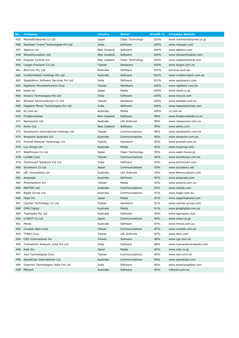| No. | <b>Company</b>                        | <b>Country</b> | <b>Sector</b>    | Growth % | <b>Company Website</b>      |
|-----|---------------------------------------|----------------|------------------|----------|-----------------------------|
| 455 | MarketEnterprise Co Ltd               | Japan          | Clean Technology | 105%     | www.marketenterprise.co.jp  |
| 456 | RateGain Travel Technologies Pvt Ltd  | India          | Software         | 105%     | www.rategain.com            |
| 457 | Alphero Ltd                           | New Zealand    | Software         | 104%     | www.alphero.com             |
| 458 | <b>WhosOnLocation Ltd</b>             | New Zealand    | Software         | 104%     | www.whosonlocation.com      |
| 459 | Outpost Central Ltd                   | New Zealand    | Clean Technology | 104%     | www.outpostcentral.com      |
| 460 | Largan Precision Co Ltd               | Taiwan         | Hardware         | 104%     | www.largan.com.tw           |
| 461 | <b>BizCover Pty Ltd</b>               | Australia      | Software         | 103%     | bizcover.com.au             |
| 462 | CreditorWatch Holdings Pty Ltd        | Australia      | Software         | 102%     | www.creditorwatch.com.au    |
| 463 | SpadeWorx Software Services Pvt Ltd   | India          | Software         | 101%     | www.spadeworx.com           |
| 464 | Rigidtech Microelectronics Corp       | Taiwan         | Hardware         | 100%     | www.rigidtech.com.tw        |
| 465 | istyle Inc                            | Japan          | Media            | 100%     | www.istyle.co.jp            |
| 466 | Incture Technologies Pvt Ltd          | India          | Software         | 100%     | www.incture.com             |
| 467 | Winstek Semiconductor Co Ltd          | Taiwan         | Hardware         | 100%     | www.winstek.com.tw          |
| 468 | Happiest Minds Technologies Pvt Ltd   | India          | Software         | 100%     | www.happiestminds.com       |
| 469 | Ry.com.au                             | Australia      | Media            | 100%     | ry.com.au                   |
| 470 | Findatruckload                        | New Zealand    | Software         | 99%      | www.findatruckload.co.nz    |
| 471 | Nanosonics Ltd                        | Australia      | Life Sciences    | 99%      | www.nanosonics.com.au       |
| 472 | Serko Ltd                             | New Zealand    | Software         | 96%      | www.serko.com               |
| 473 | Sandmartin International Holdings Ltd | Taiwan         | Communications   | 96%      | www.sandmartin.com.hk       |
| 474 | Amaysim Australia Ltd                 | Australia      | Communications   | 95%      | www.amaysim.com.au          |
| 475 | Promell Material Technology Inc       | Taiwan         | Hardware         | 95%      | www.promell.com.tw          |
| 476 | Lux Group Ltd                         | Australia      | Media            | 95%      | www.luxgroup.com            |
| 477 | Washhouse Co Ltd                      | Japan          | Clean Technology | 95%      | www.wash-house.jp           |
| 478 | LuxNet Corp                           | Taiwan         | Communications   | 94%      | www.luxnetcorp.com.tw       |
| 479 | Technovert Solutions Pvt Ltd          | India          | Software         | 93%      | www.technovert.com          |
| 480 | Socialwire Co Ltd                     | Japan          | Communications   | 93%      | www.socialwire.net          |
| 481 | <b>LBT Innovations Ltd</b>            | Australia      | Life Sciences    | 93%      | www.lbtinnovations.com      |
| 482 | ansarada                              | Australia      | Software         | 92%      | www.ansarada.com            |
| 483 | PchomeStore Inc                       | Taiwan         | Media            | 92%      | www.pcstore.com.tw          |
| 484 | <b>NEXTDC Ltd</b>                     | Australia      | Communications   | 92%      | www.nextdc.com              |
| 485 | BigAir Group Ltd                      | Australia      | Communications   | 91%      | www.bigair.com.au           |
| 486 | Hope Inc                              | Japan          | Media            | 91%      | www.zaigenkakuho.com        |
| 487 | Catcher Technology Co Ltd             | Taiwan         | Hardware         | 91%      | www.catcher-group.com       |
| 488 | <b>GMG Digital</b>                    | Australia      | Media            | 91%      | www.gmgdigital.com.au       |
|     | 489 Tigerspike Pty Ltd                | Australia      | Software         | 90%      | www.tigerspike.com          |
| 490 | U-NEXT Co Ltd                         | Japan          | Communications   | 90%      | www.unext.co.jp             |
| 491 | Mexia                                 | Australia      | Software         | 87%      | www.mexia.com.au            |
| 492 | Coretek Opto Corp                     | Taiwan         | Communications   | 87%      | www.coretek.com.tw          |
| 493 | <b>TTBIO Corp</b>                     | Taiwan         | Life Sciences    | 87%      | www.ttbio.com               |
| 494 | CGS International Inc                 | Taiwan         | Software         | 86%      | www.cgs.com.tw              |
| 495 | Transaction Analysts India Pvt Ltd    | India          | Software         | 86%      | www.transactionanalysts.com |
| 496 | Nyle Inc                              | Japan          | Media            | 85%      | www.nyle.co.jp              |
| 497 | Xavi Technologies Corp                | Taiwan         | Communications   | 85%      | www.xavi.com.tw             |
| 498 | SpeedCast International Ltd           | Australia      | Communications   | 85%      | www.speedcast.com           |
| 499 | Experion Technologies India Pvt Ltd   | India          | Software         | 84%      | www.experionglobal.com      |
|     | 500 Miktysh                           | Australia      | Software         | 84%      | miktysh.com.au              |